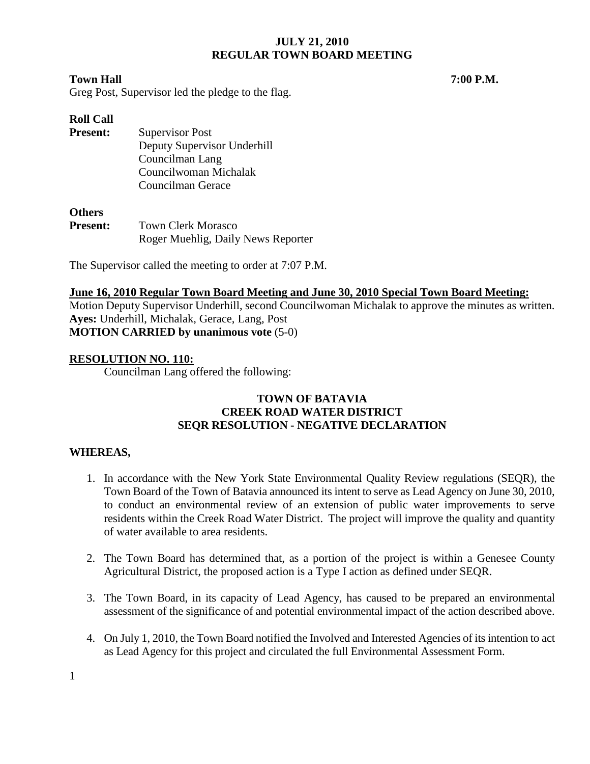#### **Town Hall 7:00 P.M.**

Greg Post, Supervisor led the pledge to the flag.

## **Roll Call**

**Present:** Supervisor Post Deputy Supervisor Underhill Councilman Lang Councilwoman Michalak Councilman Gerace

#### **Others**

| <b>Present:</b> | <b>Town Clerk Morasco</b>          |  |
|-----------------|------------------------------------|--|
|                 | Roger Muehlig, Daily News Reporter |  |

The Supervisor called the meeting to order at 7:07 P.M.

#### **June 16, 2010 Regular Town Board Meeting and June 30, 2010 Special Town Board Meeting:**

Motion Deputy Supervisor Underhill, second Councilwoman Michalak to approve the minutes as written. **Ayes:** Underhill, Michalak, Gerace, Lang, Post **MOTION CARRIED by unanimous vote** (5-0)

### **RESOLUTION NO. 110:**

Councilman Lang offered the following:

## **TOWN OF BATAVIA CREEK ROAD WATER DISTRICT SEQR RESOLUTION - NEGATIVE DECLARATION**

### **WHEREAS,**

- 1. In accordance with the New York State Environmental Quality Review regulations (SEQR), the Town Board of the Town of Batavia announced its intent to serve as Lead Agency on June 30, 2010, to conduct an environmental review of an extension of public water improvements to serve residents within the Creek Road Water District. The project will improve the quality and quantity of water available to area residents.
- 2. The Town Board has determined that, as a portion of the project is within a Genesee County Agricultural District, the proposed action is a Type I action as defined under SEQR.
- 3. The Town Board, in its capacity of Lead Agency, has caused to be prepared an environmental assessment of the significance of and potential environmental impact of the action described above.
- 4. On July 1, 2010, the Town Board notified the Involved and Interested Agencies of its intention to act as Lead Agency for this project and circulated the full Environmental Assessment Form.

1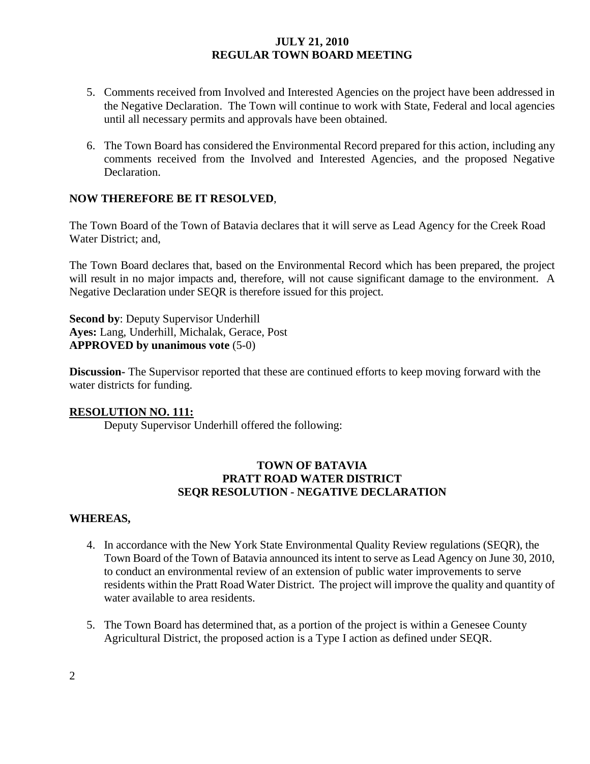- 5. Comments received from Involved and Interested Agencies on the project have been addressed in the Negative Declaration. The Town will continue to work with State, Federal and local agencies until all necessary permits and approvals have been obtained.
- 6. The Town Board has considered the Environmental Record prepared for this action, including any comments received from the Involved and Interested Agencies, and the proposed Negative Declaration.

### **NOW THEREFORE BE IT RESOLVED**,

The Town Board of the Town of Batavia declares that it will serve as Lead Agency for the Creek Road Water District; and,

The Town Board declares that, based on the Environmental Record which has been prepared, the project will result in no major impacts and, therefore, will not cause significant damage to the environment. A Negative Declaration under SEQR is therefore issued for this project.

**Second by**: Deputy Supervisor Underhill **Ayes:** Lang, Underhill, Michalak, Gerace, Post **APPROVED by unanimous vote** (5-0)

**Discussion-** The Supervisor reported that these are continued efforts to keep moving forward with the water districts for funding.

### **RESOLUTION NO. 111:**

Deputy Supervisor Underhill offered the following:

## **TOWN OF BATAVIA PRATT ROAD WATER DISTRICT SEQR RESOLUTION - NEGATIVE DECLARATION**

### **WHEREAS,**

- 4. In accordance with the New York State Environmental Quality Review regulations (SEQR), the Town Board of the Town of Batavia announced its intent to serve as Lead Agency on June 30, 2010, to conduct an environmental review of an extension of public water improvements to serve residents within the Pratt Road Water District. The project will improve the quality and quantity of water available to area residents.
- 5. The Town Board has determined that, as a portion of the project is within a Genesee County Agricultural District, the proposed action is a Type I action as defined under SEQR.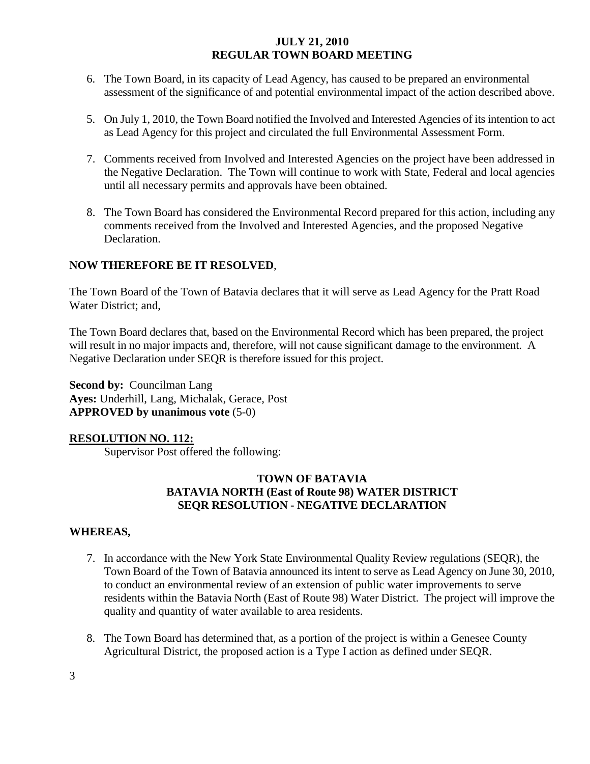- 6. The Town Board, in its capacity of Lead Agency, has caused to be prepared an environmental assessment of the significance of and potential environmental impact of the action described above.
- 5. On July 1, 2010, the Town Board notified the Involved and Interested Agencies of its intention to act as Lead Agency for this project and circulated the full Environmental Assessment Form.
- 7. Comments received from Involved and Interested Agencies on the project have been addressed in the Negative Declaration. The Town will continue to work with State, Federal and local agencies until all necessary permits and approvals have been obtained.
- 8. The Town Board has considered the Environmental Record prepared for this action, including any comments received from the Involved and Interested Agencies, and the proposed Negative Declaration.

# **NOW THEREFORE BE IT RESOLVED**,

The Town Board of the Town of Batavia declares that it will serve as Lead Agency for the Pratt Road Water District; and,

The Town Board declares that, based on the Environmental Record which has been prepared, the project will result in no major impacts and, therefore, will not cause significant damage to the environment. A Negative Declaration under SEQR is therefore issued for this project.

**Second by:** Councilman Lang **Ayes:** Underhill, Lang, Michalak, Gerace, Post **APPROVED by unanimous vote** (5-0)

### **RESOLUTION NO. 112:**

Supervisor Post offered the following:

## **TOWN OF BATAVIA BATAVIA NORTH (East of Route 98) WATER DISTRICT SEQR RESOLUTION - NEGATIVE DECLARATION**

### **WHEREAS,**

- 7. In accordance with the New York State Environmental Quality Review regulations (SEQR), the Town Board of the Town of Batavia announced its intent to serve as Lead Agency on June 30, 2010, to conduct an environmental review of an extension of public water improvements to serve residents within the Batavia North (East of Route 98) Water District. The project will improve the quality and quantity of water available to area residents.
- 8. The Town Board has determined that, as a portion of the project is within a Genesee County Agricultural District, the proposed action is a Type I action as defined under SEQR.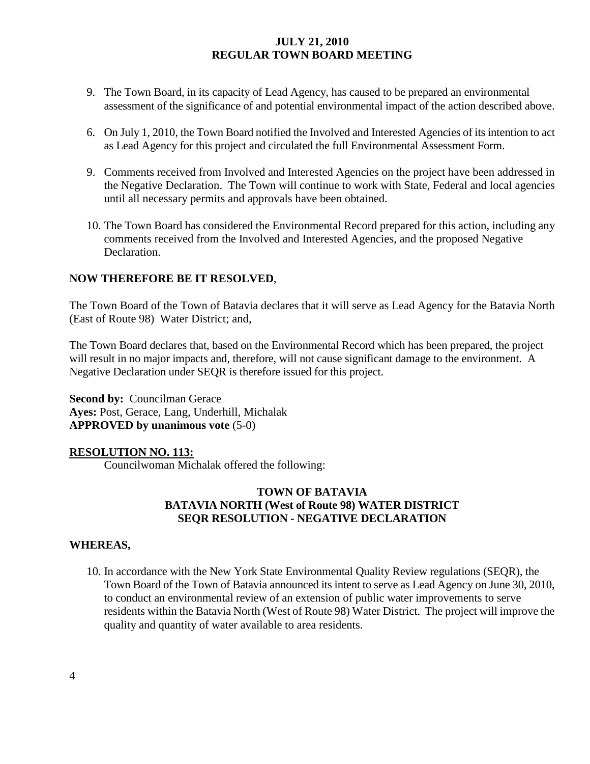- 9. The Town Board, in its capacity of Lead Agency, has caused to be prepared an environmental assessment of the significance of and potential environmental impact of the action described above.
- 6. On July 1, 2010, the Town Board notified the Involved and Interested Agencies of its intention to act as Lead Agency for this project and circulated the full Environmental Assessment Form.
- 9. Comments received from Involved and Interested Agencies on the project have been addressed in the Negative Declaration. The Town will continue to work with State, Federal and local agencies until all necessary permits and approvals have been obtained.
- 10. The Town Board has considered the Environmental Record prepared for this action, including any comments received from the Involved and Interested Agencies, and the proposed Negative Declaration.

# **NOW THEREFORE BE IT RESOLVED**,

The Town Board of the Town of Batavia declares that it will serve as Lead Agency for the Batavia North (East of Route 98) Water District; and,

The Town Board declares that, based on the Environmental Record which has been prepared, the project will result in no major impacts and, therefore, will not cause significant damage to the environment. A Negative Declaration under SEQR is therefore issued for this project.

**Second by: Councilman Gerace Ayes:** Post, Gerace, Lang, Underhill, Michalak **APPROVED by unanimous vote** (5-0)

### **RESOLUTION NO. 113:**

Councilwoman Michalak offered the following:

## **TOWN OF BATAVIA BATAVIA NORTH (West of Route 98) WATER DISTRICT SEQR RESOLUTION - NEGATIVE DECLARATION**

### **WHEREAS,**

10. In accordance with the New York State Environmental Quality Review regulations (SEQR), the Town Board of the Town of Batavia announced its intent to serve as Lead Agency on June 30, 2010, to conduct an environmental review of an extension of public water improvements to serve residents within the Batavia North (West of Route 98) Water District. The project will improve the quality and quantity of water available to area residents.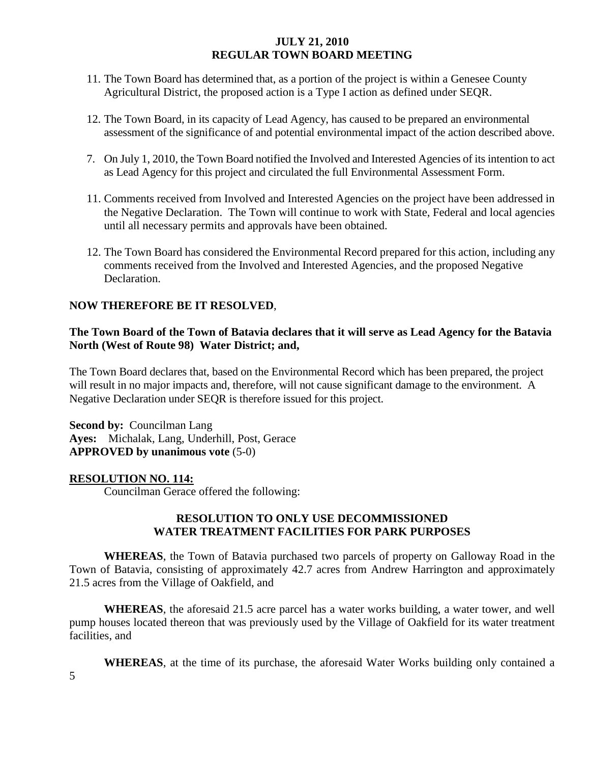- 11. The Town Board has determined that, as a portion of the project is within a Genesee County Agricultural District, the proposed action is a Type I action as defined under SEQR.
- 12. The Town Board, in its capacity of Lead Agency, has caused to be prepared an environmental assessment of the significance of and potential environmental impact of the action described above.
- 7. On July 1, 2010, the Town Board notified the Involved and Interested Agencies of its intention to act as Lead Agency for this project and circulated the full Environmental Assessment Form.
- 11. Comments received from Involved and Interested Agencies on the project have been addressed in the Negative Declaration. The Town will continue to work with State, Federal and local agencies until all necessary permits and approvals have been obtained.
- 12. The Town Board has considered the Environmental Record prepared for this action, including any comments received from the Involved and Interested Agencies, and the proposed Negative Declaration.

### **NOW THEREFORE BE IT RESOLVED**,

## **The Town Board of the Town of Batavia declares that it will serve as Lead Agency for the Batavia North (West of Route 98) Water District; and,**

The Town Board declares that, based on the Environmental Record which has been prepared, the project will result in no major impacts and, therefore, will not cause significant damage to the environment. A Negative Declaration under SEQR is therefore issued for this project.

**Second by: Councilman Lang Ayes:** Michalak, Lang, Underhill, Post, Gerace **APPROVED by unanimous vote** (5-0)

### **RESOLUTION NO. 114:**

Councilman Gerace offered the following:

### **RESOLUTION TO ONLY USE DECOMMISSIONED WATER TREATMENT FACILITIES FOR PARK PURPOSES**

**WHEREAS**, the Town of Batavia purchased two parcels of property on Galloway Road in the Town of Batavia, consisting of approximately 42.7 acres from Andrew Harrington and approximately 21.5 acres from the Village of Oakfield, and

**WHEREAS**, the aforesaid 21.5 acre parcel has a water works building, a water tower, and well pump houses located thereon that was previously used by the Village of Oakfield for its water treatment facilities, and

**WHEREAS**, at the time of its purchase, the aforesaid Water Works building only contained a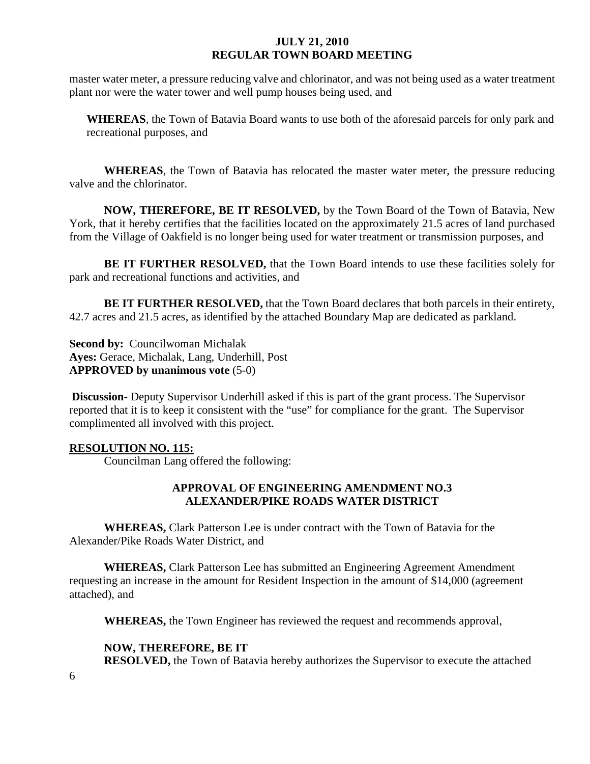master water meter, a pressure reducing valve and chlorinator, and was not being used as a water treatment plant nor were the water tower and well pump houses being used, and

**WHEREAS**, the Town of Batavia Board wants to use both of the aforesaid parcels for only park and recreational purposes, and

**WHEREAS**, the Town of Batavia has relocated the master water meter, the pressure reducing valve and the chlorinator.

**NOW, THEREFORE, BE IT RESOLVED,** by the Town Board of the Town of Batavia, New York, that it hereby certifies that the facilities located on the approximately 21.5 acres of land purchased from the Village of Oakfield is no longer being used for water treatment or transmission purposes, and

**BE IT FURTHER RESOLVED,** that the Town Board intends to use these facilities solely for park and recreational functions and activities, and

**BE IT FURTHER RESOLVED,** that the Town Board declares that both parcels in their entirety, 42.7 acres and 21.5 acres, as identified by the attached Boundary Map are dedicated as parkland.

**Second by: Councilwoman Michalak Ayes:** Gerace, Michalak, Lang, Underhill, Post **APPROVED by unanimous vote** (5-0)

**Discussion-** Deputy Supervisor Underhill asked if this is part of the grant process. The Supervisor reported that it is to keep it consistent with the "use" for compliance for the grant. The Supervisor complimented all involved with this project.

### **RESOLUTION NO. 115:**

Councilman Lang offered the following:

### **APPROVAL OF ENGINEERING AMENDMENT NO.3 ALEXANDER/PIKE ROADS WATER DISTRICT**

**WHEREAS,** Clark Patterson Lee is under contract with the Town of Batavia for the Alexander/Pike Roads Water District, and

**WHEREAS,** Clark Patterson Lee has submitted an Engineering Agreement Amendment requesting an increase in the amount for Resident Inspection in the amount of \$14,000 (agreement attached), and

**WHEREAS,** the Town Engineer has reviewed the request and recommends approval,

# **NOW, THEREFORE, BE IT**

**RESOLVED,** the Town of Batavia hereby authorizes the Supervisor to execute the attached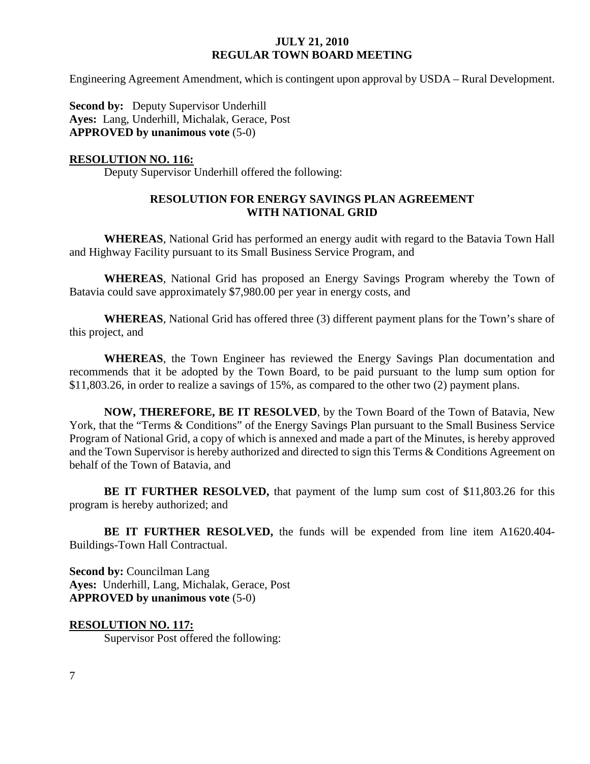Engineering Agreement Amendment, which is contingent upon approval by USDA – Rural Development.

**Second by:** Deputy Supervisor Underhill **Ayes:** Lang, Underhill, Michalak, Gerace, Post **APPROVED by unanimous vote** (5-0)

## **RESOLUTION NO. 116:**

Deputy Supervisor Underhill offered the following:

### **RESOLUTION FOR ENERGY SAVINGS PLAN AGREEMENT WITH NATIONAL GRID**

**WHEREAS**, National Grid has performed an energy audit with regard to the Batavia Town Hall and Highway Facility pursuant to its Small Business Service Program, and

**WHEREAS**, National Grid has proposed an Energy Savings Program whereby the Town of Batavia could save approximately \$7,980.00 per year in energy costs, and

**WHEREAS**, National Grid has offered three (3) different payment plans for the Town's share of this project, and

**WHEREAS**, the Town Engineer has reviewed the Energy Savings Plan documentation and recommends that it be adopted by the Town Board, to be paid pursuant to the lump sum option for \$11,803.26, in order to realize a savings of 15%, as compared to the other two (2) payment plans.

**NOW, THEREFORE, BE IT RESOLVED**, by the Town Board of the Town of Batavia, New York, that the "Terms & Conditions" of the Energy Savings Plan pursuant to the Small Business Service Program of National Grid, a copy of which is annexed and made a part of the Minutes, is hereby approved and the Town Supervisor is hereby authorized and directed to sign this Terms & Conditions Agreement on behalf of the Town of Batavia, and

**BE IT FURTHER RESOLVED,** that payment of the lump sum cost of \$11,803.26 for this program is hereby authorized; and

**BE IT FURTHER RESOLVED,** the funds will be expended from line item A1620.404- Buildings-Town Hall Contractual.

**Second by:** Councilman Lang **Ayes:** Underhill, Lang, Michalak, Gerace, Post **APPROVED by unanimous vote** (5-0)

**RESOLUTION NO. 117:** Supervisor Post offered the following: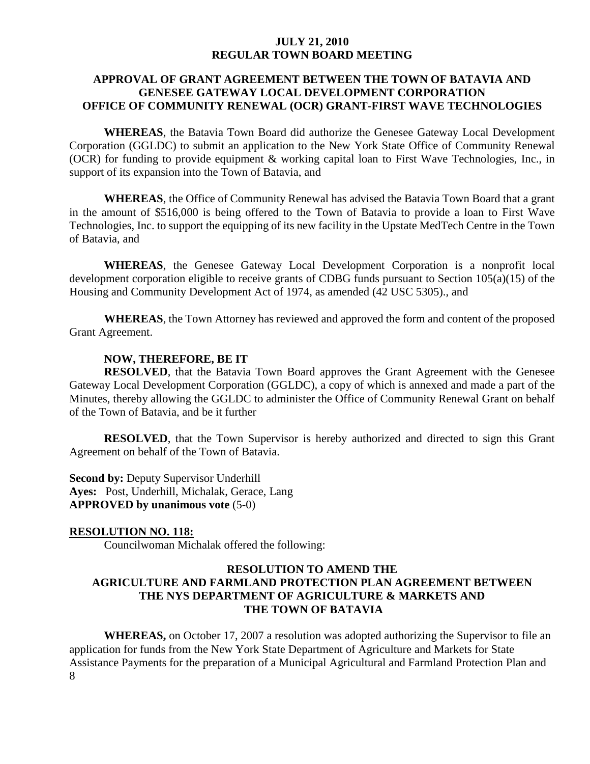### **APPROVAL OF GRANT AGREEMENT BETWEEN THE TOWN OF BATAVIA AND GENESEE GATEWAY LOCAL DEVELOPMENT CORPORATION OFFICE OF COMMUNITY RENEWAL (OCR) GRANT-FIRST WAVE TECHNOLOGIES**

**WHEREAS**, the Batavia Town Board did authorize the Genesee Gateway Local Development Corporation (GGLDC) to submit an application to the New York State Office of Community Renewal (OCR) for funding to provide equipment & working capital loan to First Wave Technologies, Inc., in support of its expansion into the Town of Batavia, and

**WHEREAS**, the Office of Community Renewal has advised the Batavia Town Board that a grant in the amount of \$516,000 is being offered to the Town of Batavia to provide a loan to First Wave Technologies, Inc. to support the equipping of its new facility in the Upstate MedTech Centre in the Town of Batavia, and

**WHEREAS**, the Genesee Gateway Local Development Corporation is a nonprofit local development corporation eligible to receive grants of CDBG funds pursuant to Section 105(a)(15) of the Housing and Community Development Act of 1974, as amended (42 USC 5305)., and

**WHEREAS**, the Town Attorney has reviewed and approved the form and content of the proposed Grant Agreement.

#### **NOW, THEREFORE, BE IT**

**RESOLVED**, that the Batavia Town Board approves the Grant Agreement with the Genesee Gateway Local Development Corporation (GGLDC), a copy of which is annexed and made a part of the Minutes, thereby allowing the GGLDC to administer the Office of Community Renewal Grant on behalf of the Town of Batavia, and be it further

**RESOLVED**, that the Town Supervisor is hereby authorized and directed to sign this Grant Agreement on behalf of the Town of Batavia.

**Second by:** Deputy Supervisor Underhill **Ayes:** Post, Underhill, Michalak, Gerace, Lang **APPROVED by unanimous vote** (5-0)

#### **RESOLUTION NO. 118:**

Councilwoman Michalak offered the following:

### **RESOLUTION TO AMEND THE AGRICULTURE AND FARMLAND PROTECTION PLAN AGREEMENT BETWEEN THE NYS DEPARTMENT OF AGRICULTURE & MARKETS AND THE TOWN OF BATAVIA**

8 **WHEREAS,** on October 17, 2007 a resolution was adopted authorizing the Supervisor to file an application for funds from the New York State Department of Agriculture and Markets for State Assistance Payments for the preparation of a Municipal Agricultural and Farmland Protection Plan and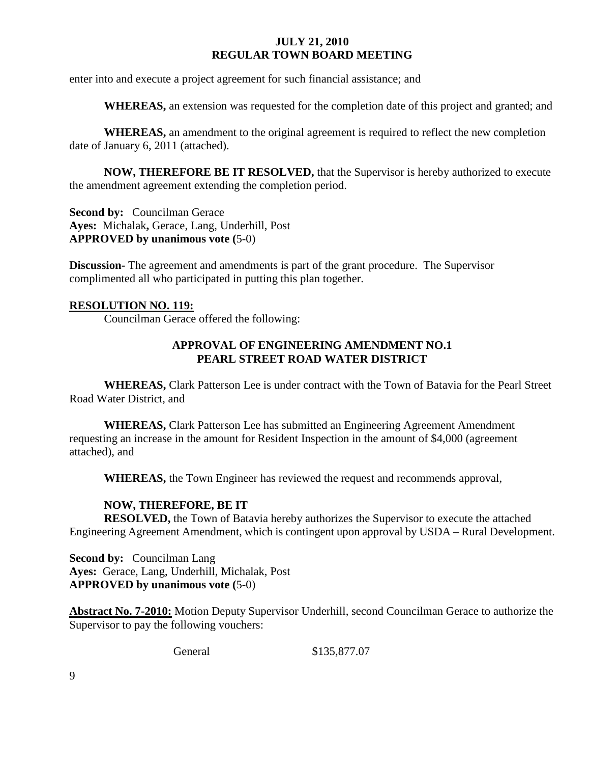enter into and execute a project agreement for such financial assistance; and

**WHEREAS,** an extension was requested for the completion date of this project and granted; and

**WHEREAS,** an amendment to the original agreement is required to reflect the new completion date of January 6, 2011 (attached).

**NOW, THEREFORE BE IT RESOLVED,** that the Supervisor is hereby authorized to execute the amendment agreement extending the completion period.

**Second by: Councilman Gerace Ayes:** Michalak**,** Gerace, Lang, Underhill, Post **APPROVED by unanimous vote (**5-0)

**Discussion-** The agreement and amendments is part of the grant procedure. The Supervisor complimented all who participated in putting this plan together.

#### **RESOLUTION NO. 119:**

Councilman Gerace offered the following:

### **APPROVAL OF ENGINEERING AMENDMENT NO.1 PEARL STREET ROAD WATER DISTRICT**

**WHEREAS,** Clark Patterson Lee is under contract with the Town of Batavia for the Pearl Street Road Water District, and

**WHEREAS,** Clark Patterson Lee has submitted an Engineering Agreement Amendment requesting an increase in the amount for Resident Inspection in the amount of \$4,000 (agreement attached), and

**WHEREAS,** the Town Engineer has reviewed the request and recommends approval,

### **NOW, THEREFORE, BE IT**

**RESOLVED,** the Town of Batavia hereby authorizes the Supervisor to execute the attached Engineering Agreement Amendment, which is contingent upon approval by USDA – Rural Development.

**Second by: Councilman Lang Ayes:** Gerace, Lang, Underhill, Michalak, Post **APPROVED by unanimous vote (**5-0)

**Abstract No. 7-2010:** Motion Deputy Supervisor Underhill, second Councilman Gerace to authorize the Supervisor to pay the following vouchers:

General \$135,877.07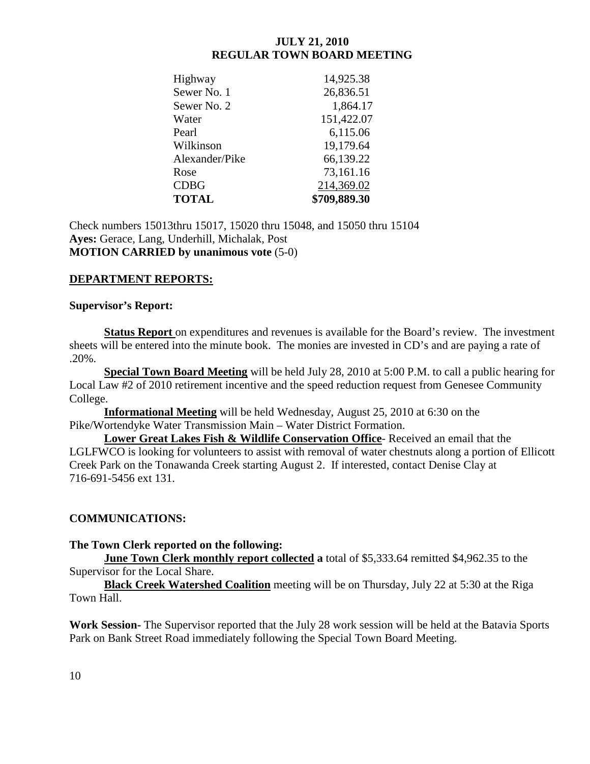| Highway        | 14,925.38    |
|----------------|--------------|
| Sewer No. 1    | 26,836.51    |
| Sewer No. 2    | 1,864.17     |
| Water          | 151,422.07   |
| Pearl          | 6,115.06     |
| Wilkinson      | 19,179.64    |
| Alexander/Pike | 66,139.22    |
| Rose           | 73,161.16    |
| <b>CDBG</b>    | 214,369.02   |
| <b>TOTAL</b>   | \$709,889.30 |

Check numbers 15013thru 15017, 15020 thru 15048, and 15050 thru 15104 **Ayes:** Gerace, Lang, Underhill, Michalak, Post **MOTION CARRIED by unanimous vote** (5-0)

# **DEPARTMENT REPORTS:**

### **Supervisor's Report:**

**Status Report** on expenditures and revenues is available for the Board's review. The investment sheets will be entered into the minute book. The monies are invested in CD's and are paying a rate of .20%.

**Special Town Board Meeting** will be held July 28, 2010 at 5:00 P.M. to call a public hearing for Local Law #2 of 2010 retirement incentive and the speed reduction request from Genesee Community College.

**Informational Meeting** will be held Wednesday, August 25, 2010 at 6:30 on the Pike/Wortendyke Water Transmission Main – Water District Formation.

**Lower Great Lakes Fish & Wildlife Conservation Office**- Received an email that the LGLFWCO is looking for volunteers to assist with removal of water chestnuts along a portion of Ellicott Creek Park on the Tonawanda Creek starting August 2. If interested, contact Denise Clay at 716-691-5456 ext 131.

# **COMMUNICATIONS:**

### **The Town Clerk reported on the following:**

**June Town Clerk monthly report collected a** total of \$5,333.64 remitted \$4,962.35 to the Supervisor for the Local Share.

**Black Creek Watershed Coalition** meeting will be on Thursday, July 22 at 5:30 at the Riga Town Hall.

**Work Session-** The Supervisor reported that the July 28 work session will be held at the Batavia Sports Park on Bank Street Road immediately following the Special Town Board Meeting.